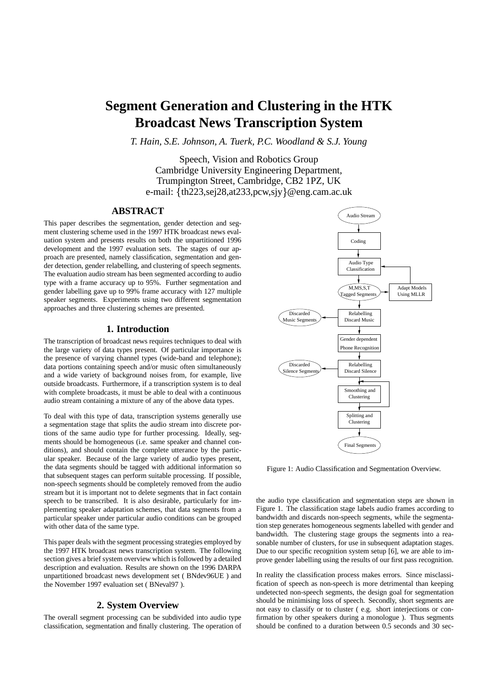# **Segment Generation and Clustering in the HTK Broadcast News Transcription System**

*T. Hain, S.E. Johnson, A. Tuerk, P.C. Woodland & S.J. Young*

Speech, Vision and Robotics Group Cambridge University Engineering Department, Trumpington Street, Cambridge, CB2 1PZ, UK e-mail: th223,sej28,at233,pcw,sjy @eng.cam.ac.uk

# **ABSTRACT**

This paper describes the segmentation, gender detection and segment clustering scheme used in the 1997 HTK broadcast news evaluation system and presents results on both the unpartitioned 1996 development and the 1997 evaluation sets. The stages of our approach are presented, namely classification, segmentation and gender detection, gender relabelling, and clustering of speech segments. The evaluation audio stream has been segmented according to audio type with a frame accuracy up to 95%. Further segmentation and gender labelling gave up to 99% frame accuracy with 127 multiple speaker segments. Experiments using two different segmentation approaches and three clustering schemes are presented.

#### **1. Introduction**

The transcription of broadcast news requires techniques to deal with the large variety of data types present. Of particular importance is the presence of varying channel types (wide-band and telephone); data portions containing speech and/or music often simultaneously and a wide variety of background noises from, for example, live outside broadcasts. Furthermore, if a transcription system is to deal with complete broadcasts, it must be able to deal with a continuous audio stream containing a mixture of any of the above data types.

To deal with this type of data, transcription systems generally use a segmentation stage that splits the audio stream into discrete portions of the same audio type for further processing. Ideally, segments should be homogeneous (i.e. same speaker and channel conditions), and should contain the complete utterance by the particular speaker. Because of the large variety of audio types present, the data segments should be tagged with additional information so that subsequent stages can perform suitable processing. If possible, non-speech segments should be completely removed from the audio stream but it is important not to delete segments that in fact contain speech to be transcribed. It is also desirable, particularly for implementing speaker adaptation schemes, that data segments from a particular speaker under particular audio conditions can be grouped with other data of the same type.

This paper deals with the segment processing strategies employed by the 1997 HTK broadcast news transcription system. The following section gives a brief system overview which is followed by a detailed description and evaluation. Results are shown on the 1996 DARPA unpartitioned broadcast news development set ( BNdev96UE ) and the November 1997 evaluation set ( BNeval97 ).

#### **2. System Overview**

The overall segment processing can be subdivided into audio type classification, segmentation and finally clustering. The operation of



Figure 1: Audio Classification and Segmentation Overview.

the audio type classification and segmentation steps are shown in Figure 1. The classification stage labels audio frames according to bandwidth and discards non-speech segments, while the segmentation step generates homogeneous segments labelled with gender and bandwidth. The clustering stage groups the segments into a reasonable number of clusters, for use in subsequent adaptation stages. Due to our specific recognition system setup [6], we are able to improve gender labelling using the results of our first pass recognition.

In reality the classification process makes errors. Since misclassification of speech as non-speech is more detrimental than keeping undetected non-speech segments, the design goal for segmentation should be minimising loss of speech. Secondly, short segments are not easy to classify or to cluster ( e.g. short interjections or confirmation by other speakers during a monologue ). Thus segments should be confined to a duration between 0.5 seconds and 30 sec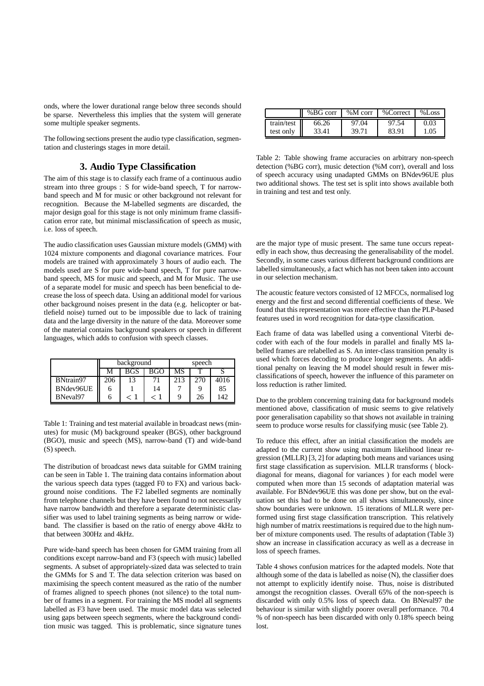onds, where the lower durational range below three seconds should be sparse. Nevertheless this implies that the system will generate some multiple speaker segments.

The following sections present the audio type classification, segmentation and clusterings stages in more detail.

### **3. Audio Type Classification**

The aim of this stage is to classify each frame of a continuous audio stream into three groups : S for wide-band speech, T for narrowband speech and M for music or other background not relevant for recognition. Because the M-labelled segments are discarded, the major design goal for this stage is not only minimum frame classification error rate, but minimal misclassification of speech as music, i.e. loss of speech.

The audio classification uses Gaussian mixture models (GMM) with 1024 mixture components and diagonal covariance matrices. Four models are trained with approximately 3 hours of audio each. The models used are S for pure wide-band speech, T for pure narrowband speech, MS for music and speech, and M for Music. The use of a separate model for music and speech has been beneficial to decrease the loss of speech data. Using an additional model for various other background noises present in the data (e.g. helicopter or battlefield noise) turned out to be impossible due to lack of training data and the large diversity in the nature of the data. Moreover some of the material contains background speakers or speech in different languages, which adds to confusion with speech classes.

|           | background |     |     | speech |     |      |
|-----------|------------|-----|-----|--------|-----|------|
|           | M          | BGS | BGO | МS     |     |      |
| BNtrain97 | 206        |     |     |        | 270 | 4016 |
| BNdev96UE | h          |     | 14  |        |     | 85   |
| BNeval97  | n          |     |     |        | 26  | 142  |

Table 1: Training and test material available in broadcast news (minutes) for music (M) background speaker (BGS), other background (BGO), music and speech (MS), narrow-band (T) and wide-band (S) speech.

The distribution of broadcast news data suitable for GMM training can be seen in Table 1. The training data contains information about the various speech data types (tagged F0 to FX) and various background noise conditions. The F2 labelled segments are nominally from telephone channels but they have been found to not necessarily have narrow bandwidth and therefore a separate deterministic classifier was used to label training segments as being narrow or wideband. The classifier is based on the ratio of energy above 4kHz to that between 300Hz and 4kHz.

Pure wide-band speech has been chosen for GMM training from all conditions except narrow-band and F3 (speech with music) labelled segments. A subset of appropriately-sized data was selected to train the GMMs for S and T. The data selection criterion was based on maximising the speech content measured as the ratio of the number of frames aligned to speech phones (not silence) to the total number of frames in a segment. For training the MS model all segments labelled as F3 have been used. The music model data was selected using gaps between speech segments, where the background condition music was tagged. This is problematic, since signature tunes

|            | %BG corr | $%M_{corr}$ | %Correct | %Loss |
|------------|----------|-------------|----------|-------|
| train/test | 66.26    | 97.04       | 97.54    | 0.03  |
| test only  | 33.41    | 39.71       | 83.91    | .05   |

Table 2: Table showing frame accuracies on arbitrary non-speech detection (%BG corr), music detection (%M corr), overall and loss of speech accuracy using unadapted GMMs on BNdev96UE plus two additional shows. The test set is split into shows available both in training and test and test only.

are the major type of music present. The same tune occurs repeatedly in each show, thus decreasing the generalisability of the model. Secondly, in some cases various different background conditions are labelled simultaneously, a fact which has not been taken into account in our selection mechanism.

The acoustic feature vectors consisted of 12 MFCCs, normalised log energy and the first and second differential coefficients of these. We found that this representation was more effective than the PLP-based features used in word recognition for data-type classification.

Each frame of data was labelled using a conventional Viterbi decoder with each of the four models in parallel and finally MS labelled frames are relabelled as S. An inter-class transition penalty is used which forces decoding to produce longer segments. An additional penalty on leaving the M model should result in fewer misclassifications of speech, however the influence of this parameter on loss reduction is rather limited.

Due to the problem concerning training data for background models mentioned above, classification of music seems to give relatively poor generalisation capability so that shows not available in training seem to produce worse results for classifying music (see Table 2).

To reduce this effect, after an initial classification the models are adapted to the current show using maximum likelihood linear regression (MLLR) [3, 2] for adapting both means and variances using first stage classification as supervision. MLLR transforms ( blockdiagonal for means, diagonal for variances ) for each model were computed when more than 15 seconds of adaptation material was available. For BNdev96UE this was done per show, but on the evaluation set this had to be done on all shows simultaneously, since show boundaries were unknown. 15 iterations of MLLR were performed using first stage classification transcription. This relatively high number of matrix reestimations is required due to the high number of mixture components used. The results of adaptation (Table 3) show an increase in classification accuracy as well as a decrease in loss of speech frames.

Table 4 shows confusion matrices for the adapted models. Note that although some of the data is labelled as noise (N), the classifier does not attempt to explicitly identify noise. Thus, noise is distributed amongst the recognition classes. Overall 65% of the non-speech is discarded with only 0.5% loss of speech data. On BNeval97 the behaviour is similar with slightly poorer overall performance. 70.4 % of non-speech has been discarded with only 0.18% speech being lost.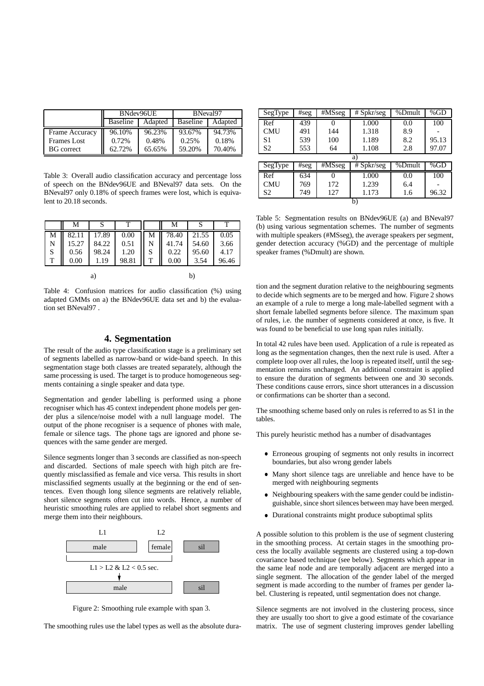|                   | BNdev96UE       |         | BNeval97        |         |
|-------------------|-----------------|---------|-----------------|---------|
|                   | <b>Baseline</b> | Adapted | <b>Baseline</b> | Adapted |
| Frame Accuracy    | 96.10%          | 96.23%  | 93.67%          | 94.73%  |
| Frames Lost       | 0.72%           | 0.48%   | 0.25%           | 0.18%   |
| <b>BG</b> correct | 62.72%          | 65.65%  | 59.20%          | 70.40%  |

Table 3: Overall audio classification accuracy and percentage loss of speech on the BNdev96UE and BNeval97 data sets. On the BNeval97 only 0.18% of speech frames were lost, which is equivalent to 20.18 seconds.

|   | M     |       |       |   | м     |       |       |
|---|-------|-------|-------|---|-------|-------|-------|
| М | 82.11 | 17.89 | 0.00  | Μ | 78.40 | 21.55 | 0.05  |
| N | 15.27 | 84.22 | 0.51  | N | 41.74 | 54.60 | 3.66  |
| S | 0.56  | 98.24 | 1.20  | S | 0.22  | 95.60 | 4.17  |
| т | 0.00  | 1.19  | 98.81 | т | 0.00  | 3.54  | 96.46 |
|   |       | a)    |       |   |       | b)    |       |

Table 4: Confusion matrices for audio classification (%) using adapted GMMs on a) the BNdev96UE data set and b) the evaluation set BNeval97 .

## **4. Segmentation**

The result of the audio type classification stage is a preliminary set of segments labelled as narrow-band or wide-band speech. In this segmentation stage both classes are treated separately, although the same processing is used. The target is to produce homogeneous segments containing a single speaker and data type.

Segmentation and gender labelling is performed using a phone recogniser which has 45 context independent phone models per gender plus a silence/noise model with a null language model. The output of the phone recogniser is a sequence of phones with male, female or silence tags. The phone tags are ignored and phone sequences with the same gender are merged.

Silence segments longer than 3 seconds are classified as non-speech and discarded. Sections of male speech with high pitch are frequently misclassified as female and vice versa. This results in short misclassified segments usually at the beginning or the end of sentences. Even though long silence segments are relatively reliable, short silence segments often cut into words. Hence, a number of heuristic smoothing rules are applied to relabel short segments and merge them into their neighbours.



Figure 2: Smoothing rule example with span 3.

The smoothing rules use the label types as well as the absolute dura-

| SegType        | #seg | $\overline{\textbf{H}}$ MSseg | $#$ Spkr/seg | %Dmult | % $GD$ |
|----------------|------|-------------------------------|--------------|--------|--------|
| Ref            | 439  | 0                             | 1.000        | 0.0    | 100    |
| <b>CMU</b>     | 491  | 144                           | 1.318        | 8.9    |        |
| S1             | 539  | 100                           | 1.189        | 8.2    | 95.13  |
| S <sub>2</sub> | 553  | 64                            | 1.108        | 2.8    | 97.07  |
|                |      |                               |              |        |        |
|                |      |                               | a)           |        |        |
| SegType        | #seg | $\overline{\text{HMS}}$ seg   | $#$ Spkr/seg | %Dmult | %GD    |
| Ref            | 634  | 0                             | 1.000        | 0.0    | 100    |
| <b>CMU</b>     | 769  | 172                           | 1.239        | 6.4    |        |
| S <sub>2</sub> | 749  | 127                           | 1.173        | 1.6    | 96.32  |

Table 5: Segmentation results on BNdev96UE (a) and BNeval97 (b) using various segmentation schemes. The number of segments with multiple speakers (#MSseg), the average speakers per segment, gender detection accuracy (%GD) and the percentage of multiple speaker frames (%Dmult) are shown.

tion and the segment duration relative to the neighbouring segments to decide which segments are to be merged and how. Figure 2 shows an example of a rule to merge a long male-labelled segment with a short female labelled segments before silence. The maximum span of rules, i.e. the number of segments considered at once, is five. It was found to be beneficial to use long span rules initially.

In total 42 rules have been used. Application of a rule is repeated as long as the segmentation changes, then the next rule is used. After a complete loop over all rules, the loop is repeated itself, until the segmentation remains unchanged. An additional constraint is applied to ensure the duration of segments between one and 30 seconds. These conditions cause errors, since short utterances in a discussion or confirmations can be shorter than a second.

The smoothing scheme based only on rules is referred to as S1 in the tables.

This purely heuristic method has a number of disadvantages

- Erroneous grouping of segments not only results in incorrect boundaries, but also wrong gender labels
- Many short silence tags are unreliable and hence have to be merged with neighbouring segments
- Neighbouring speakers with the same gender could be indistinguishable, since short silences between may have been merged.
- Durational constraints might produce suboptimal splits

A possible solution to this problem is the use of segment clustering in the smoothing process. At certain stages in the smoothing process the locally available segments are clustered using a top-down covariance based technique (see below). Segments which appear in the same leaf node and are temporally adjacent are merged into a single segment. The allocation of the gender label of the merged segment is made according to the number of frames per gender label. Clustering is repeated, until segmentation does not change.

Silence segments are not involved in the clustering process, since they are usually too short to give a good estimate of the covariance matrix. The use of segment clustering improves gender labelling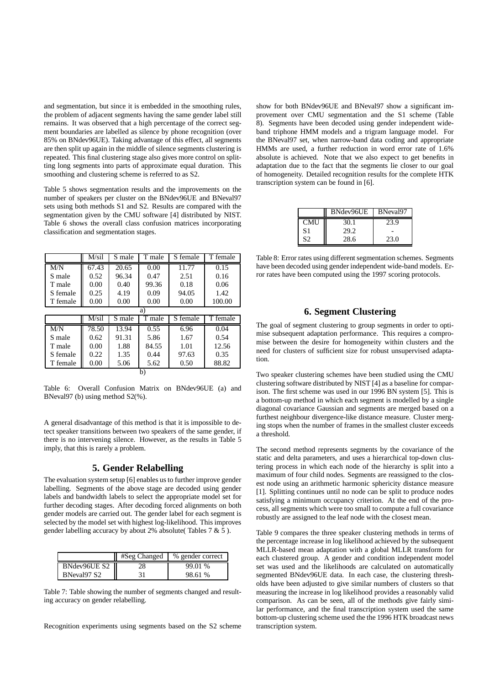and segmentation, but since it is embedded in the smoothing rules, the problem of adjacent segments having the same gender label still remains. It was observed that a high percentage of the correct segment boundaries are labelled as silence by phone recognition (over 85% on BNdev96UE). Taking advantage of this effect, all segments are then split up again in the middle of silence segments clustering is repeated. This final clustering stage also gives more control on splitting long segments into parts of approximate equal duration. This smoothing and clustering scheme is referred to as S2.

Table 5 shows segmentation results and the improvements on the number of speakers per cluster on the BNdev96UE and BNeval97 sets using both methods S1 and S2. Results are compared with the segmentation given by the CMU software [4] distributed by NIST. Table 6 shows the overall class confusion matrices incorporating classification and segmentation stages.

|          | M/sil | S male | T male | S female | T female |
|----------|-------|--------|--------|----------|----------|
| M/N      | 67.43 | 20.65  | 0.00   | 11.77    | 0.15     |
| S male   | 0.52  | 96.34  | 0.47   | 2.51     | 0.16     |
| T male   | 0.00  | 0.40   | 99.36  | 0.18     | 0.06     |
| S female | 0.25  | 4.19   | 0.09   | 94.05    | 1.42     |
| T female | 0.00  | 0.00   | 0.00   | 0.00     | 100.00   |
| a)       |       |        |        |          |          |
|          |       |        |        |          |          |
|          | M/sil | S male | T male | S female | T female |
| M/N      | 78.50 | 13.94  | 0.55   | 6.96     | 0.04     |
| S male   | 0.62  | 91.31  | 5.86   | 1.67     | 0.54     |
| T male   | 0.00  | 1.88   | 84.55  | 1.01     | 12.56    |
| S female | 0.22  | 1.35   | 0.44   | 97.63    | 0.35     |
| T female | 0.00  | 5.06   | 5.62   | 0.50     | 88.82    |

Table 6: Overall Confusion Matrix on BNdev96UE (a) and BNeval97 (b) using method S2(%).

A general disadvantage of this method is that it is impossible to detect speaker transitions between two speakers of the same gender, if there is no intervening silence. However, as the results in Table 5 imply, that this is rarely a problem.

#### **5. Gender Relabelling**

The evaluation system setup [6] enables us to further improve gender labelling. Segments of the above stage are decoded using gender labels and bandwidth labels to select the appropriate model set for further decoding stages. After decoding forced alignments on both gender models are carried out. The gender label for each segment is selected by the model set with highest log-likelihood. This improves gender labelling accuracy by about 2% absolute(Tables  $7 & 5$ ).

|              | #Seg Changed | % gender correct |
|--------------|--------------|------------------|
| BNdev96UE S2 |              | 99.01 %          |
| BNeval97 S2  |              | 98.61 %          |

Table 7: Table showing the number of segments changed and resulting accuracy on gender relabelling.

Recognition experiments using segments based on the S2 scheme

show for both BNdev96UE and BNeval97 show a significant improvement over CMU segmentation and the S1 scheme (Table 8). Segments have been decoded using gender independent wideband triphone HMM models and a trigram language model. For the BNeval97 set, when narrow-band data coding and appropriate HMMs are used, a further reduction in word error rate of 1.6% absolute is achieved. Note that we also expect to get benefits in adaptation due to the fact that the segments lie closer to our goal of homogeneity. Detailed recognition results for the complete HTK transcription system can be found in [6].

|            | BNdev96UE | BNeval97 |
|------------|-----------|----------|
| <b>CMU</b> | 30.1      | 23.9     |
| S1         | 29.2      |          |
| S2         | 28.6      | 23.0     |

Table 8: Error rates using different segmentation schemes. Segments have been decoded using gender independent wide-band models. Error rates have been computed using the 1997 scoring protocols.

### **6. Segment Clustering**

The goal of segment clustering to group segments in order to optimise subsequent adaptation performance. This requires a compromise between the desire for homogeneity within clusters and the need for clusters of sufficient size for robust unsupervised adaptation.

Two speaker clustering schemes have been studied using the CMU clustering software distributed by NIST [4] as a baseline for comparison. The first scheme was used in our 1996 BN system [5]. This is a bottom-up method in which each segment is modelled by a single diagonal covariance Gaussian and segments are merged based on a furthest neighbour divergence-like distance measure. Cluster merging stops when the number of frames in the smallest cluster exceeds a threshold.

The second method represents segments by the covariance of the static and delta parameters, and uses a hierarchical top-down clustering process in which each node of the hierarchy is split into a maximum of four child nodes. Segments are reassigned to the closest node using an arithmetic harmonic sphericity distance measure [1]. Splitting continues until no node can be split to produce nodes satisfying a minimum occupancy criterion. At the end of the process, all segments which were too small to compute a full covariance robustly are assigned to the leaf node with the closest mean.

Table 9 compares the three speaker clustering methods in terms of the percentage increase in log likelihood achieved by the subsequent MLLR-based mean adaptation with a global MLLR transform for each clustered group. A gender and condition independent model set was used and the likelihoods are calculated on automatically segmented BNdev96UE data. In each case, the clustering thresholds have been adjusted to give similar numbers of clusters so that measuring the increase in log likelihood provides a reasonably valid comparison. As can be seen, all of the methods give fairly similar performance, and the final transcription system used the same bottom-up clustering scheme used the the 1996 HTK broadcast news transcription system.